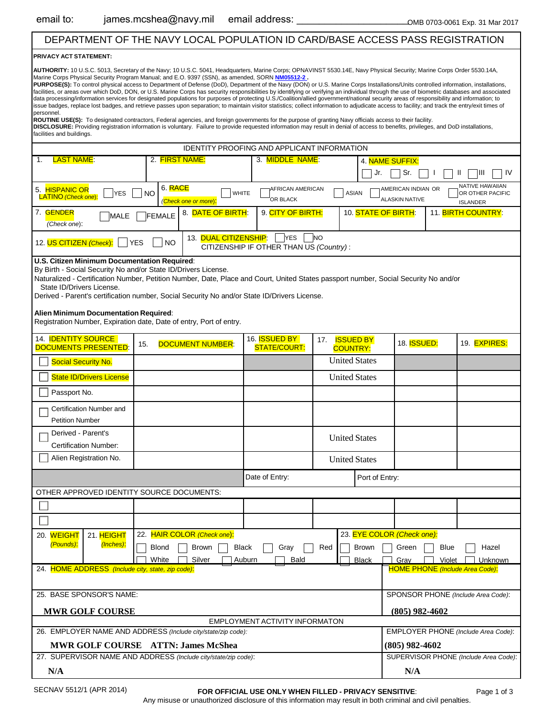## DEPARTMENT OF THE NAVY LOCAL POPULATION ID CARD/BASE ACCESS PASS REGISTRATION

|                                                                                                                                      | DEPARTMENT OF THE NAVY LOCAL POPULATION ID CARD/BASE ACCESS PASS REGISTRATION                                                                                                                                                                                                                                                                                                                                                                                                                                                                                                                                                                                                                                                                                                                                                                                                                                                                                                                                                                                                                                                                                                                                                 |                                                       |                                     |                                             |                                                                                     |
|--------------------------------------------------------------------------------------------------------------------------------------|-------------------------------------------------------------------------------------------------------------------------------------------------------------------------------------------------------------------------------------------------------------------------------------------------------------------------------------------------------------------------------------------------------------------------------------------------------------------------------------------------------------------------------------------------------------------------------------------------------------------------------------------------------------------------------------------------------------------------------------------------------------------------------------------------------------------------------------------------------------------------------------------------------------------------------------------------------------------------------------------------------------------------------------------------------------------------------------------------------------------------------------------------------------------------------------------------------------------------------|-------------------------------------------------------|-------------------------------------|---------------------------------------------|-------------------------------------------------------------------------------------|
| PRIVACY ACT STATEMENT:                                                                                                               |                                                                                                                                                                                                                                                                                                                                                                                                                                                                                                                                                                                                                                                                                                                                                                                                                                                                                                                                                                                                                                                                                                                                                                                                                               |                                                       |                                     |                                             |                                                                                     |
| personnel.                                                                                                                           | AUTHORITY: 10 U.S.C. 5013, Secretary of the Navy: 10 U.S.C. 5041, Headquarters, Marine Corps; OPNAVINST 5530.14E, Navy Physical Security; Marine Corps Order 5530.14A,<br>Marine Corps Physical Security Program Manual; and E.O. 9397 (SSN), as amended, SORN NM05512-2.<br>PURPOSE(S): To control physical access to Department of Defense (DoD), Department of the Navy (DON) or U.S. Marine Corps Installations/Units controlled information, installations,<br>facilities, or areas over which DoD, DON, or U.S. Marine Corps has security responsibilities by identifying or verifying an individual through the use of biometric databases and associated<br>data processing/information services for designated populations for purposes of protecting U.S./Coalition/allied government/national security areas of responsibility and information; to<br>issue badges, replace lost badges, and retrieve passes upon separation; to maintain visitor statistics; collect information to adjudicate access to facility; and track the entry/exit times of<br>ROUTINE USE(S): To designated contractors, Federal agencies, and foreign governments for the purpose of granting Navy officials access to their facility. |                                                       |                                     |                                             |                                                                                     |
| facilities and buildings.                                                                                                            | DISCLOSURE: Providing registration information is voluntary. Failure to provide requested information may result in denial of access to benefits, privileges, and DoD installations,                                                                                                                                                                                                                                                                                                                                                                                                                                                                                                                                                                                                                                                                                                                                                                                                                                                                                                                                                                                                                                          |                                                       |                                     |                                             |                                                                                     |
|                                                                                                                                      |                                                                                                                                                                                                                                                                                                                                                                                                                                                                                                                                                                                                                                                                                                                                                                                                                                                                                                                                                                                                                                                                                                                                                                                                                               | IDENTITY PROOFING AND APPLICANT INFORMATION           |                                     |                                             |                                                                                     |
| <b>LAST NAME:</b><br>1.                                                                                                              | 2. FIRST NAME:                                                                                                                                                                                                                                                                                                                                                                                                                                                                                                                                                                                                                                                                                                                                                                                                                                                                                                                                                                                                                                                                                                                                                                                                                | 3. MIDDLE NAME:                                       |                                     | 4. NAME SUFFIX:<br>Sr.<br>Jr.               | Ш<br>ШI<br>1V                                                                       |
| 5. HISPANIC OR<br><b>YES</b><br><b>LATINO</b> (Check one):                                                                           | 6. RACE<br><b>NO</b><br>(Check one or more):                                                                                                                                                                                                                                                                                                                                                                                                                                                                                                                                                                                                                                                                                                                                                                                                                                                                                                                                                                                                                                                                                                                                                                                  | AFRICAN AMERICAN<br><b>WHITE</b><br>OR BLACK          | <b>ASIAN</b>                        | AMERICAN INDIAN OR<br><b>ALASKIN NATIVE</b> | NATIVE HAWAIIAN<br>OR OTHER PACIFIC<br><b>ISLANDER</b>                              |
| 7. GENDER<br>MALE<br>(Check one):                                                                                                    | 8. DATE OF BIRTH:<br><b>FEMALE</b>                                                                                                                                                                                                                                                                                                                                                                                                                                                                                                                                                                                                                                                                                                                                                                                                                                                                                                                                                                                                                                                                                                                                                                                            | 9. CITY OF BIRTH:                                     |                                     | 10. STATE OF BIRTH:                         | 11. BIRTH COUNTRY:                                                                  |
| 12. US CITIZEN (Check):                                                                                                              | 13. DUAL CITIZENSHIP:<br><b>YES</b><br><b>NO</b>                                                                                                                                                                                                                                                                                                                                                                                                                                                                                                                                                                                                                                                                                                                                                                                                                                                                                                                                                                                                                                                                                                                                                                              | <b>YES</b><br>CITIZENSHIP IF OTHER THAN US (Country): | <b>NO</b>                           |                                             |                                                                                     |
| By Birth - Social Security No and/or State ID/Drivers License.<br>State ID/Drivers License.<br>Alien Minimum Documentation Required: | Naturalized - Certification Number, Petition Number, Date, Place and Court, United States passport number, Social Security No and/or<br>Derived - Parent's certification number, Social Security No and/or State ID/Drivers License.<br>Registration Number, Expiration date, Date of entry, Port of entry.                                                                                                                                                                                                                                                                                                                                                                                                                                                                                                                                                                                                                                                                                                                                                                                                                                                                                                                   |                                                       |                                     |                                             |                                                                                     |
| 14. <b>IDENTITY SOURCE</b><br><b>DOCUMENTS PRESENTED</b>                                                                             | 15.<br><b>DOCUMENT NUMBER:</b>                                                                                                                                                                                                                                                                                                                                                                                                                                                                                                                                                                                                                                                                                                                                                                                                                                                                                                                                                                                                                                                                                                                                                                                                | 16. <b>ISSUED BY</b><br><b>STATE/COURT:</b>           | 17. ISSUED BY<br><b>COUNTRY:</b>    | 18. ISSUED:                                 | 19. EXPIRES:                                                                        |
| <b>Social Security No.</b>                                                                                                           |                                                                                                                                                                                                                                                                                                                                                                                                                                                                                                                                                                                                                                                                                                                                                                                                                                                                                                                                                                                                                                                                                                                                                                                                                               |                                                       | <b>United States</b>                |                                             |                                                                                     |
| <b>State ID/Drivers License</b>                                                                                                      |                                                                                                                                                                                                                                                                                                                                                                                                                                                                                                                                                                                                                                                                                                                                                                                                                                                                                                                                                                                                                                                                                                                                                                                                                               |                                                       | <b>United States</b>                |                                             |                                                                                     |
| Passport No.                                                                                                                         |                                                                                                                                                                                                                                                                                                                                                                                                                                                                                                                                                                                                                                                                                                                                                                                                                                                                                                                                                                                                                                                                                                                                                                                                                               |                                                       |                                     |                                             |                                                                                     |
| Certification Number and<br><b>Petition Number</b>                                                                                   |                                                                                                                                                                                                                                                                                                                                                                                                                                                                                                                                                                                                                                                                                                                                                                                                                                                                                                                                                                                                                                                                                                                                                                                                                               |                                                       |                                     |                                             |                                                                                     |
| Derived - Parent's<br>Certification Number:                                                                                          |                                                                                                                                                                                                                                                                                                                                                                                                                                                                                                                                                                                                                                                                                                                                                                                                                                                                                                                                                                                                                                                                                                                                                                                                                               |                                                       | <b>United States</b>                |                                             |                                                                                     |
| Alien Registration No.                                                                                                               |                                                                                                                                                                                                                                                                                                                                                                                                                                                                                                                                                                                                                                                                                                                                                                                                                                                                                                                                                                                                                                                                                                                                                                                                                               |                                                       | <b>United States</b>                |                                             |                                                                                     |
|                                                                                                                                      |                                                                                                                                                                                                                                                                                                                                                                                                                                                                                                                                                                                                                                                                                                                                                                                                                                                                                                                                                                                                                                                                                                                                                                                                                               | Date of Entry:                                        |                                     | Port of Entry:                              |                                                                                     |
| OTHER APPROVED IDENTITY SOURCE DOCUMENTS:                                                                                            |                                                                                                                                                                                                                                                                                                                                                                                                                                                                                                                                                                                                                                                                                                                                                                                                                                                                                                                                                                                                                                                                                                                                                                                                                               |                                                       |                                     |                                             |                                                                                     |
|                                                                                                                                      |                                                                                                                                                                                                                                                                                                                                                                                                                                                                                                                                                                                                                                                                                                                                                                                                                                                                                                                                                                                                                                                                                                                                                                                                                               |                                                       |                                     |                                             |                                                                                     |
|                                                                                                                                      |                                                                                                                                                                                                                                                                                                                                                                                                                                                                                                                                                                                                                                                                                                                                                                                                                                                                                                                                                                                                                                                                                                                                                                                                                               |                                                       |                                     |                                             |                                                                                     |
| 20. WEIGHT<br>21. HEIGHT<br>(Pounds):<br>(Inches):<br>24. HOME ADDRESS (Include city, state, zip code):                              | 22. HAIR COLOR (Check one):<br><b>Blond</b><br><b>Brown</b><br>White<br>Silver                                                                                                                                                                                                                                                                                                                                                                                                                                                                                                                                                                                                                                                                                                                                                                                                                                                                                                                                                                                                                                                                                                                                                | Black<br>Gray<br>Auburn<br><b>Bald</b>                | Red<br><b>Brown</b><br><b>Black</b> | 23. EYE COLOR (Check one):<br>Green<br>Gray | <b>Blue</b><br>Hazel<br>Violet<br>Unknown<br><b>HOME PHONE</b> (Include Area Code): |
|                                                                                                                                      |                                                                                                                                                                                                                                                                                                                                                                                                                                                                                                                                                                                                                                                                                                                                                                                                                                                                                                                                                                                                                                                                                                                                                                                                                               |                                                       |                                     |                                             |                                                                                     |
| 25. BASE SPONSOR'S NAME:                                                                                                             |                                                                                                                                                                                                                                                                                                                                                                                                                                                                                                                                                                                                                                                                                                                                                                                                                                                                                                                                                                                                                                                                                                                                                                                                                               |                                                       |                                     |                                             | SPONSOR PHONE (Include Area Code):                                                  |
| <b>MWR GOLF COURSE</b>                                                                                                               |                                                                                                                                                                                                                                                                                                                                                                                                                                                                                                                                                                                                                                                                                                                                                                                                                                                                                                                                                                                                                                                                                                                                                                                                                               | EMPLOYMENT ACTIVITY INFORMATON                        |                                     | $(805)$ 982-4602                            |                                                                                     |
|                                                                                                                                      | 26. EMPLOYER NAME AND ADDRESS (Include city/state/zip code):                                                                                                                                                                                                                                                                                                                                                                                                                                                                                                                                                                                                                                                                                                                                                                                                                                                                                                                                                                                                                                                                                                                                                                  |                                                       |                                     |                                             | EMPLOYER PHONE (Include Area Code)                                                  |

**MWR GOLF COURSE ATTN: James McShea**

27. SUPERVISOR NAME AND ADDRESS *(Include city/state/zip code)*:

**(805) 982-4602**

**N/A**

SUPERVISOR PHONE *(Include Area Code)*: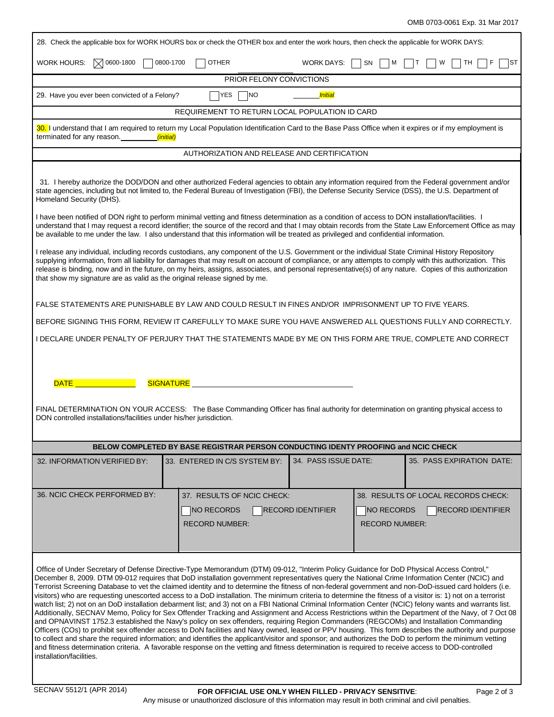| 28. Check the applicable box for WORK HOURS box or check the OTHER box and enter the work hours, then check the applicable for WORK DAYS:                                                                                                                                                                                                                                                                                                                                                                                                                                                                                                                                                                                                                                                                                                                                                                                                                                                                                                                                                                                                                                                                                                                                                                                                                                                                                                                                                                                                                                       |                                                |                                               |                                     |  |
|---------------------------------------------------------------------------------------------------------------------------------------------------------------------------------------------------------------------------------------------------------------------------------------------------------------------------------------------------------------------------------------------------------------------------------------------------------------------------------------------------------------------------------------------------------------------------------------------------------------------------------------------------------------------------------------------------------------------------------------------------------------------------------------------------------------------------------------------------------------------------------------------------------------------------------------------------------------------------------------------------------------------------------------------------------------------------------------------------------------------------------------------------------------------------------------------------------------------------------------------------------------------------------------------------------------------------------------------------------------------------------------------------------------------------------------------------------------------------------------------------------------------------------------------------------------------------------|------------------------------------------------|-----------------------------------------------|-------------------------------------|--|
| $\sqrt{ }$ 0600-1800<br>WORK HOURS:                                                                                                                                                                                                                                                                                                                                                                                                                                                                                                                                                                                                                                                                                                                                                                                                                                                                                                                                                                                                                                                                                                                                                                                                                                                                                                                                                                                                                                                                                                                                             | 0800-1700<br><b>OTHER</b>                      | <b>WORK DAYS:</b><br>SN.<br>м                 | W<br>TH<br>IST                      |  |
|                                                                                                                                                                                                                                                                                                                                                                                                                                                                                                                                                                                                                                                                                                                                                                                                                                                                                                                                                                                                                                                                                                                                                                                                                                                                                                                                                                                                                                                                                                                                                                                 | PRIOR FELONY CONVICTIONS                       |                                               |                                     |  |
| 29. Have you ever been convicted of a Felony?                                                                                                                                                                                                                                                                                                                                                                                                                                                                                                                                                                                                                                                                                                                                                                                                                                                                                                                                                                                                                                                                                                                                                                                                                                                                                                                                                                                                                                                                                                                                   | YES<br> NO                                     | <i>Initial</i>                                |                                     |  |
|                                                                                                                                                                                                                                                                                                                                                                                                                                                                                                                                                                                                                                                                                                                                                                                                                                                                                                                                                                                                                                                                                                                                                                                                                                                                                                                                                                                                                                                                                                                                                                                 | REQUIREMENT TO RETURN LOCAL POPULATION ID CARD |                                               |                                     |  |
| 30. I understand that I am required to return my Local Population Identification Card to the Base Pass Office when it expires or if my employment is<br>terminated for any reason.<br><i>(initial)</i>                                                                                                                                                                                                                                                                                                                                                                                                                                                                                                                                                                                                                                                                                                                                                                                                                                                                                                                                                                                                                                                                                                                                                                                                                                                                                                                                                                          |                                                |                                               |                                     |  |
|                                                                                                                                                                                                                                                                                                                                                                                                                                                                                                                                                                                                                                                                                                                                                                                                                                                                                                                                                                                                                                                                                                                                                                                                                                                                                                                                                                                                                                                                                                                                                                                 | AUTHORIZATION AND RELEASE AND CERTIFICATION    |                                               |                                     |  |
| 31. I hereby authorize the DOD/DON and other authorized Federal agencies to obtain any information required from the Federal government and/or<br>state agencies, including but not limited to, the Federal Bureau of Investigation (FBI), the Defense Security Service (DSS), the U.S. Department of<br>Homeland Security (DHS).                                                                                                                                                                                                                                                                                                                                                                                                                                                                                                                                                                                                                                                                                                                                                                                                                                                                                                                                                                                                                                                                                                                                                                                                                                               |                                                |                                               |                                     |  |
| I have been notified of DON right to perform minimal vetting and fitness determination as a condition of access to DON installation/facilities.<br>understand that I may request a record identifier; the source of the record and that I may obtain records from the State Law Enforcement Office as may<br>be available to me under the law. I also understand that this information will be treated as privileged and confidential information.                                                                                                                                                                                                                                                                                                                                                                                                                                                                                                                                                                                                                                                                                                                                                                                                                                                                                                                                                                                                                                                                                                                              |                                                |                                               |                                     |  |
| I release any individual, including records custodians, any component of the U.S. Government or the individual State Criminal History Repository<br>supplying information, from all liability for damages that may result on account of compliance, or any attempts to comply with this authorization. This<br>release is binding, now and in the future, on my heirs, assigns, associates, and personal representative(s) of any nature. Copies of this authorization<br>that show my signature are as valid as the original release signed by me.                                                                                                                                                                                                                                                                                                                                                                                                                                                                                                                                                                                                                                                                                                                                                                                                                                                                                                                                                                                                                             |                                                |                                               |                                     |  |
| FALSE STATEMENTS ARE PUNISHABLE BY LAW AND COULD RESULT IN FINES AND/OR IMPRISONMENT UP TO FIVE YEARS.                                                                                                                                                                                                                                                                                                                                                                                                                                                                                                                                                                                                                                                                                                                                                                                                                                                                                                                                                                                                                                                                                                                                                                                                                                                                                                                                                                                                                                                                          |                                                |                                               |                                     |  |
| BEFORE SIGNING THIS FORM, REVIEW IT CAREFULLY TO MAKE SURE YOU HAVE ANSWERED ALL QUESTIONS FULLY AND CORRECTLY.                                                                                                                                                                                                                                                                                                                                                                                                                                                                                                                                                                                                                                                                                                                                                                                                                                                                                                                                                                                                                                                                                                                                                                                                                                                                                                                                                                                                                                                                 |                                                |                                               |                                     |  |
| I DECLARE UNDER PENALTY OF PERJURY THAT THE STATEMENTS MADE BY ME ON THIS FORM ARE TRUE, COMPLETE AND CORRECT                                                                                                                                                                                                                                                                                                                                                                                                                                                                                                                                                                                                                                                                                                                                                                                                                                                                                                                                                                                                                                                                                                                                                                                                                                                                                                                                                                                                                                                                   |                                                |                                               |                                     |  |
| DATE <u>____________</u> _____<br><b>SIGNATURE</b><br>FINAL DETERMINATION ON YOUR ACCESS: The Base Commanding Officer has final authority for determination on granting physical access to<br>DON controlled installations/facilities under his/her jurisdiction.                                                                                                                                                                                                                                                                                                                                                                                                                                                                                                                                                                                                                                                                                                                                                                                                                                                                                                                                                                                                                                                                                                                                                                                                                                                                                                               |                                                |                                               |                                     |  |
| BELOW COMPLETED BY BASE REGISTRAR PERSON CONDUCTING IDENTY PROOFING and NCIC CHECK                                                                                                                                                                                                                                                                                                                                                                                                                                                                                                                                                                                                                                                                                                                                                                                                                                                                                                                                                                                                                                                                                                                                                                                                                                                                                                                                                                                                                                                                                              |                                                |                                               |                                     |  |
| 32. INFORMATION VERIFIED BY:                                                                                                                                                                                                                                                                                                                                                                                                                                                                                                                                                                                                                                                                                                                                                                                                                                                                                                                                                                                                                                                                                                                                                                                                                                                                                                                                                                                                                                                                                                                                                    | 33. ENTERED IN C/S SYSTEM BY:                  | 34. PASS ISSUE DATE:                          | 35. PASS EXPIRATION DATE:           |  |
| 36. NCIC CHECK PERFORMED BY:                                                                                                                                                                                                                                                                                                                                                                                                                                                                                                                                                                                                                                                                                                                                                                                                                                                                                                                                                                                                                                                                                                                                                                                                                                                                                                                                                                                                                                                                                                                                                    | 37. RESULTS OF NCIC CHECK:                     |                                               | 38. RESULTS OF LOCAL RECORDS CHECK: |  |
|                                                                                                                                                                                                                                                                                                                                                                                                                                                                                                                                                                                                                                                                                                                                                                                                                                                                                                                                                                                                                                                                                                                                                                                                                                                                                                                                                                                                                                                                                                                                                                                 | NO RECORDS                                     | <b>NO RECORDS</b><br><b>RECORD IDENTIFIER</b> | <b>RECORD IDENTIFIER</b>            |  |
|                                                                                                                                                                                                                                                                                                                                                                                                                                                                                                                                                                                                                                                                                                                                                                                                                                                                                                                                                                                                                                                                                                                                                                                                                                                                                                                                                                                                                                                                                                                                                                                 | <b>RECORD NUMBER:</b>                          | <b>RECORD NUMBER:</b>                         |                                     |  |
| Office of Under Secretary of Defense Directive-Type Memorandum (DTM) 09-012, "Interim Policy Guidance for DoD Physical Access Control,"<br>December 8, 2009. DTM 09-012 requires that DoD installation government representatives query the National Crime Information Center (NCIC) and<br>Terrorist Screening Database to vet the claimed identity and to determine the fitness of non-federal government and non-DoD-issued card holders (i.e.<br>visitors) who are requesting unescorted access to a DoD installation. The minimum criteria to determine the fitness of a visitor is: 1) not on a terrorist<br>watch list; 2) not on an DoD installation debarment list; and 3) not on a FBI National Criminal Information Center (NCIC) felony wants and warrants list.<br>Additionally, SECNAV Memo, Policy for Sex Offender Tracking and Assignment and Access Restrictions within the Department of the Navy, of 7 Oct 08<br>and OPNAVINST 1752.3 established the Navy's policy on sex offenders, requiring Region Commanders (REGCOMs) and Installation Commanding<br>Officers (COs) to prohibit sex offender access to DoN facilities and Navy owned, leased or PPV housing. This form describes the authority and purpose<br>to collect and share the required information; and identifies the applicant/visitor and sponsor; and authorizes the DoD to perform the minimum vetting<br>and fitness determination criteria. A favorable response on the vetting and fitness determination is required to receive access to DOD-controlled<br>installation/facilities. |                                                |                                               |                                     |  |